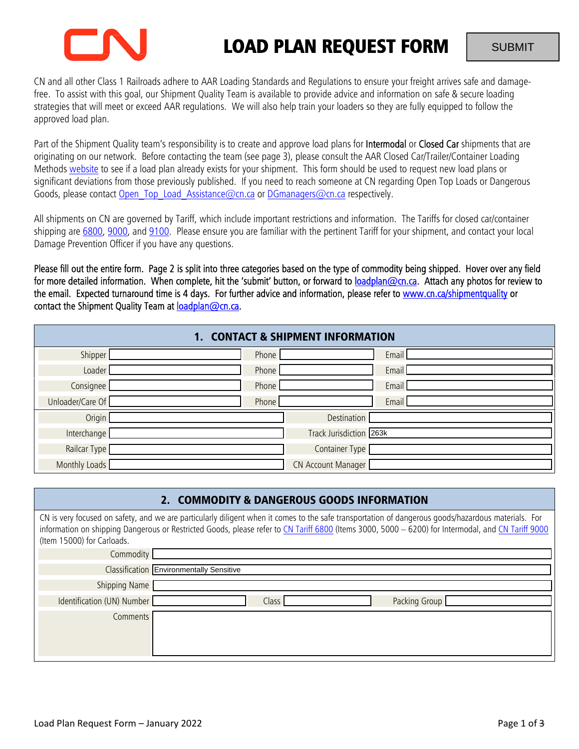

# LOAD PLAN REQUEST FORM

CN and all other Class 1 Railroads adhere to AAR Loading Standards and Regulations to ensure your freight arrives safe and damagefree. To assist with this goal, our Shipment Quality Team is available to provide advice and information on safe & secure loading strategies that will meet or exceed AAR regulations. We will also help train your loaders so they are fully equipped to follow the approved load plan.

Part of the Shipment Quality team's responsibility is to create and approve load plans for **Intermodal** or Closed Car shipments that are originating on our network. Before contacting the team (see page 3), please consult the AAR Closed Car/Trailer/Container Loading Methods website to see if a load plan already exists for your shipment. This form should be used to request new load plans or significant deviations from those previously published. If you need to reach someone at CN regarding Open Top Loads or Dangerous Goods, please contact Open\_Top\_Load\_Assistance@cn.ca or DGmanagers@cn.ca respectively.

All shipments on CN are governed by Tariff, which include important restrictions and information. The Tariffs for closed car/container shipping are 6800, 9000, and 9100. Please ensure you are familiar with the pertinent Tariff for your shipment, and contact your local Damage Prevention Officer if you have any questions.

Please fill out the entire form. Page 2 is split into three categories based on the type of commodity being shipped. Hover over any field for more detailed information. When complete, hit the 'submit' button, or forward to loadplan@cn.ca. Attach any photos for review to the email. Expected turnaround time is 4 days. For further advice and information, please refer to www.cn.ca/shipmentquality or contact the Shipment Quality Team at loadplan@cn.ca.

| 1. CONTACT & SHIPMENT INFORMATION |       |                         |  |  |  |
|-----------------------------------|-------|-------------------------|--|--|--|
| Shipper                           | Phone | Email                   |  |  |  |
| Loader                            | Phone | Email                   |  |  |  |
| Consignee                         | Phone | Email                   |  |  |  |
| Unloader/Care Of                  | Phone | Email                   |  |  |  |
| Origin                            |       | Destination             |  |  |  |
| Interchange                       |       | Track Jurisdiction 263k |  |  |  |
| Railcar Type                      |       | Container Type          |  |  |  |
| Monthly Loads                     |       | CN Account Manager      |  |  |  |

| 2. COMMODITY & DANGEROUS GOODS INFORMATION                                                                                                                                                                                                                                                                                              |                                                 |  |  |  |  |  |
|-----------------------------------------------------------------------------------------------------------------------------------------------------------------------------------------------------------------------------------------------------------------------------------------------------------------------------------------|-------------------------------------------------|--|--|--|--|--|
| CN is very focused on safety, and we are particularly diligent when it comes to the safe transportation of dangerous goods/hazardous materials. For<br>information on shipping Dangerous or Restricted Goods, please refer to CN Tariff 6800 (Items 3000, 5000 - 6200) for Intermodal, and CN Tariff 9000<br>(Item 15000) for Carloads. |                                                 |  |  |  |  |  |
| Commodity                                                                                                                                                                                                                                                                                                                               |                                                 |  |  |  |  |  |
|                                                                                                                                                                                                                                                                                                                                         | <b>Classification Environmentally Sensitive</b> |  |  |  |  |  |
| Shipping Name                                                                                                                                                                                                                                                                                                                           |                                                 |  |  |  |  |  |
| Identification (UN) Number                                                                                                                                                                                                                                                                                                              | <b>Class</b><br>Packing Group                   |  |  |  |  |  |
| Comments                                                                                                                                                                                                                                                                                                                                |                                                 |  |  |  |  |  |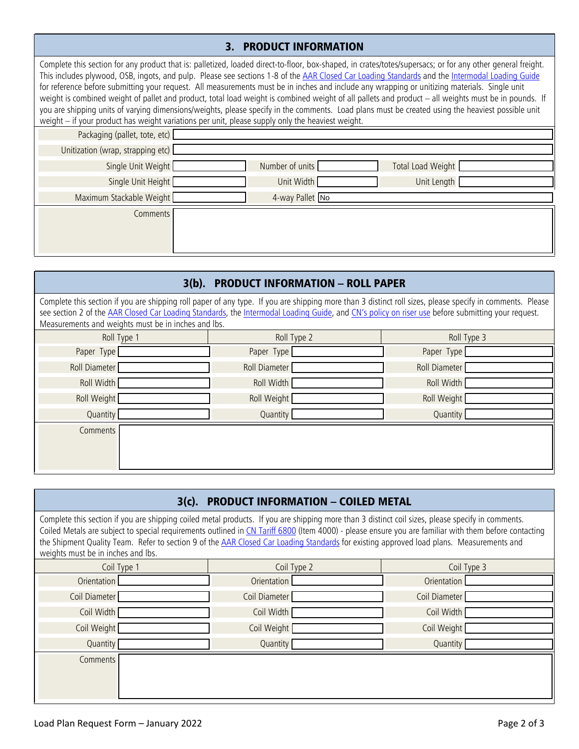## 3. PRODUCT INFORMATION

Complete this section for any product that is: palletized, loaded direct-to-floor, box-shaped, in crates/totes/supersacs; or for any other general freight. This includes plywood, OSB, ingots, and pulp. Please see sections 1-8 of the AAR Closed Car Loading Standards and the Intermodal Loading Guide for reference before submitting your request. All measurements must be in inches and include any wrapping or unitizing materials. Single unit weight is combined weight of pallet and product, total load weight is combined weight of all pallets and product – all weights must be in pounds. If you are shipping units of varying dimensions/weights, please specify in the comments. Load plans must be created using the heaviest possible unit weight – if your product has weight variations per unit, please supply only the heaviest weight.

| Number of units | Total Load Weight |  |  |  |  |
|-----------------|-------------------|--|--|--|--|
| Unit Width      | Unit Length       |  |  |  |  |
| 4-way Pallet No |                   |  |  |  |  |
|                 |                   |  |  |  |  |
|                 |                   |  |  |  |  |
|                 |                   |  |  |  |  |
|                 |                   |  |  |  |  |

| 3(b). PRODUCT INFORMATION - ROLL PAPER                                                                                                                                                                                                                                                                                                                                |               |               |  |  |  |  |
|-----------------------------------------------------------------------------------------------------------------------------------------------------------------------------------------------------------------------------------------------------------------------------------------------------------------------------------------------------------------------|---------------|---------------|--|--|--|--|
| Complete this section if you are shipping roll paper of any type. If you are shipping more than 3 distinct roll sizes, please specify in comments. Please<br>see section 2 of the AAR Closed Car Loading Standards, the Intermodal Loading Guide, and CN's policy on riser use before submitting your request.<br>Measurements and weights must be in inches and lbs. |               |               |  |  |  |  |
| Roll Type 1                                                                                                                                                                                                                                                                                                                                                           | Roll Type 2   | Roll Type 3   |  |  |  |  |
| Paper Type                                                                                                                                                                                                                                                                                                                                                            | Paper Type    | Paper Type    |  |  |  |  |
| Roll Diameter                                                                                                                                                                                                                                                                                                                                                         | Roll Diameter | Roll Diameter |  |  |  |  |
| Roll Width                                                                                                                                                                                                                                                                                                                                                            | Roll Width    | Roll Width    |  |  |  |  |
| Roll Weight                                                                                                                                                                                                                                                                                                                                                           | Roll Weight   | Roll Weight   |  |  |  |  |
| Quantity                                                                                                                                                                                                                                                                                                                                                              | Quantity      | Quantity      |  |  |  |  |
| Comments                                                                                                                                                                                                                                                                                                                                                              |               |               |  |  |  |  |

| 3(c). PRODUCT INFORMATION - COILED METAL                                                                                                                                                                                                                                                                                                                                                                                                                                                     |               |               |  |  |  |  |
|----------------------------------------------------------------------------------------------------------------------------------------------------------------------------------------------------------------------------------------------------------------------------------------------------------------------------------------------------------------------------------------------------------------------------------------------------------------------------------------------|---------------|---------------|--|--|--|--|
| Complete this section if you are shipping coiled metal products. If you are shipping more than 3 distinct coil sizes, please specify in comments.<br>Coiled Metals are subject to special requirements outlined in CN Tariff 6800 (Item 4000) - please ensure you are familiar with them before contacting<br>the Shipment Quality Team. Refer to section 9 of the AAR Closed Car Loading Standards for existing approved load plans. Measurements and<br>weights must be in inches and lbs. |               |               |  |  |  |  |
| Coil Type 1                                                                                                                                                                                                                                                                                                                                                                                                                                                                                  | Coil Type 2   | Coil Type 3   |  |  |  |  |
| Orientation                                                                                                                                                                                                                                                                                                                                                                                                                                                                                  | Orientation   | Orientation   |  |  |  |  |
| Coil Diameter                                                                                                                                                                                                                                                                                                                                                                                                                                                                                | Coil Diameter | Coil Diameter |  |  |  |  |
| Coil Width                                                                                                                                                                                                                                                                                                                                                                                                                                                                                   | Coil Width    | Coil Width    |  |  |  |  |
| Coil Weight                                                                                                                                                                                                                                                                                                                                                                                                                                                                                  | Coil Weight   | Coil Weight   |  |  |  |  |
| Quantity                                                                                                                                                                                                                                                                                                                                                                                                                                                                                     | Quantity      | Quantity      |  |  |  |  |
| <b>Comments</b>                                                                                                                                                                                                                                                                                                                                                                                                                                                                              |               |               |  |  |  |  |